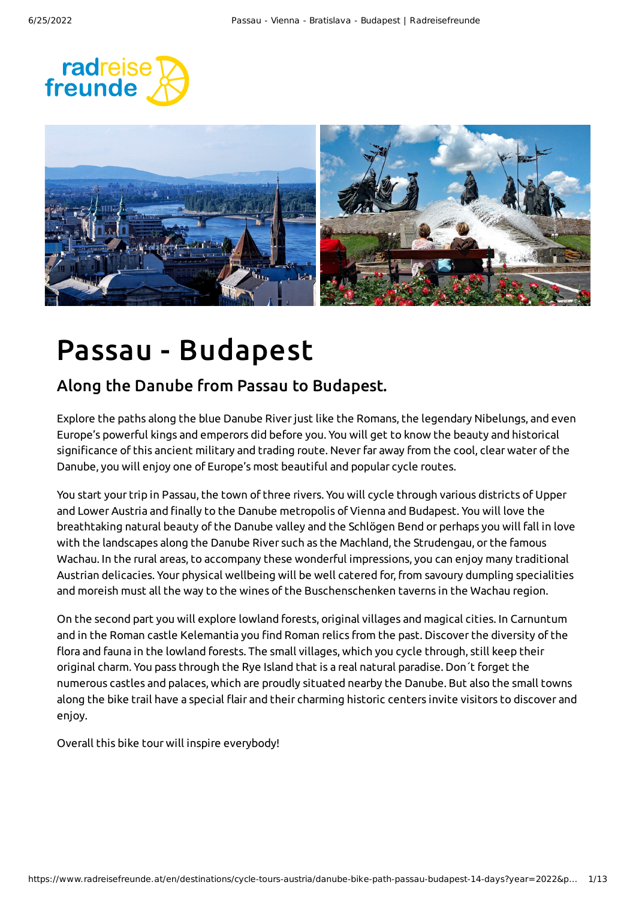



## Passau - Budapest

### Along the Danube from Passau to Budapest.

Explore the paths along the blue Danube Riverjust like the Romans, the legendary Nibelungs, and even Europe's powerful kings and emperors did before you. You will get to know the beauty and historical significance of this ancient military and trading route. Neverfar away from the cool, clear water of the Danube, you will enjoy one of Europe's most beautiful and popular cycle routes.

You start your trip in Passau, the town of three rivers. You will cycle through various districts of Upper and Lower Austria and finally to the Danube metropolis of Vienna and Budapest. You will love the breathtaking natural beauty of the Danube valley and the Schlögen Bend or perhaps you will fall in love with the landscapes along the Danube River such as the Machland, the Strudengau, or the famous Wachau. In the rural areas, to accompany these wonderful impressions, you can enjoy many traditional Austrian delicacies. Your physical wellbeing will be well catered for,from savoury dumpling specialities and moreish must all the way to the wines of the Buschenschenken taverns in the Wachau region.

On the second part you will explore lowland forests, original villages and magical cities. In Carnuntum and in the Roman castle Kelemantia you find Roman relics from the past. Discover the diversity of the flora and fauna in the lowland forests. The small villages, which you cycle through, still keep their original charm. You pass through the Rye Island that is a real natural paradise. Don´t forget the numerous castles and palaces, which are proudly situated nearby the Danube. But also the small towns along the bike trail have a special flair and their charming historic centers invite visitors to discover and enjoy.

Overall this bike tour will inspire everybody!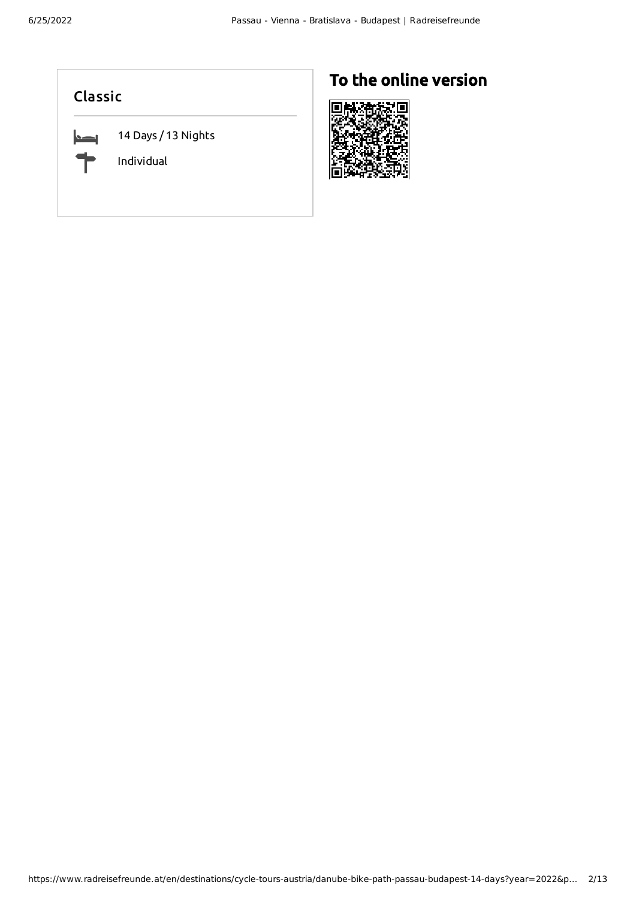#### Classic

 $\blacksquare$ 

14 Days / 13 Nights

Individual

### To the online version

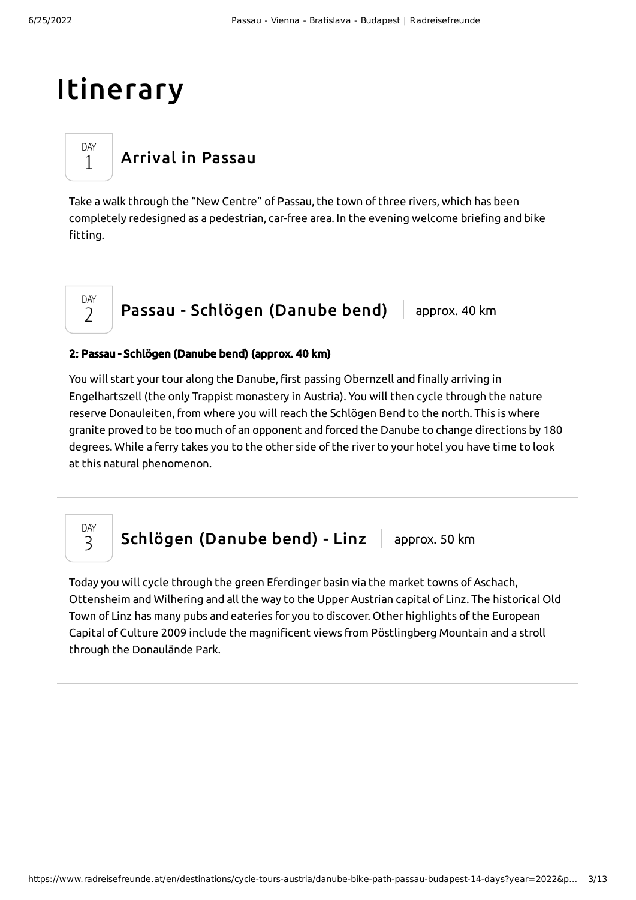## Itinerary

DAY 1

DAY  $\overline{\phantom{0}}$ 

## [Arrival](#page-2-0) in Passau

<span id="page-2-0"></span>Take a walk through the "New Centre" of Passau, the town of three rivers, which has been completely redesigned as a pedestrian, car-free area. In the evening welcome briefing and bike fitting.

### Passau - [Schlögen](#page-2-1) (Danube bend) approx. 40 km

#### <span id="page-2-1"></span>2: Passau - Schlögen (Danube bend) (approx. 40 km)

You will start your tour along the Danube, first passing Obernzell and finally arriving in Engelhartszell (the only Trappist monastery in Austria). You will then cycle through the nature reserve Donauleiten, from where you will reach the Schlögen Bend to the north. This is where granite proved to be too much of an opponent and forced the Danube to change directions by 180 degrees. While a ferry takes you to the other side of the river to your hotel you have time to look at this natural phenomenon.

DAY 3

[Schlögen](#page-2-2) (Danube bend) - Linz | approx. 50 km

<span id="page-2-2"></span>Today you will cycle through the green Eferdinger basin via the market towns of Aschach, Ottensheim and Wilhering and all the way to the Upper Austrian capital of Linz. The historical Old Town of Linz has many pubs and eateries for you to discover. Other highlights of the European Capital of Culture 2009 include the magnificent views from Pöstlingberg Mountain and a stroll through the Donaulände Park.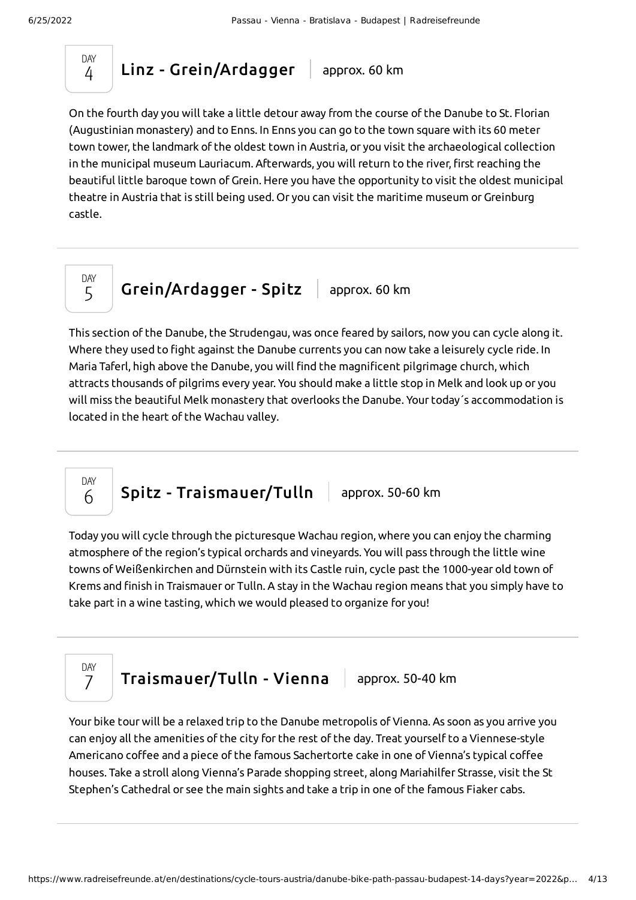

 $Linz - Grein/Ardagger$  $Linz - Grein/Ardagger$  approx. 60 km

<span id="page-3-0"></span>On the fourth day you will take a little detour away from the course of the Danube to St. Florian (Augustinian monastery) and to Enns. In Enns you can go to the town square with its 60 meter town tower, the landmark of the oldest town in Austria, or you visit the archaeological collection in the municipal museum Lauriacum. Afterwards, you will return to the river, first reaching the beautiful little baroque town of Grein. Here you have the opportunity to visit the oldest municipal theatre in Austria that is still being used. Or you can visit the maritime museum or Greinburg castle.



[Grein/Ardagger](#page-3-1) - Spitz  $\vert$  approx. 60 km

<span id="page-3-1"></span>This section of the Danube, the Strudengau, was once feared by sailors, now you can cycle along it. Where they used to fight against the Danube currents you can now take a leisurely cycle ride. In Maria Taferl, high above the Danube, you will find the magnificent pilgrimage church, which attracts thousands of pilgrims every year. You should make a little stop in Melk and look up or you will miss the beautiful Melk monastery that overlooks the Danube. Your today´s accommodation is located in the heart of the Wachau valley.

Spitz - [Traismauer/Tulln](#page-3-2) | approx. 50-60 km

<span id="page-3-2"></span>Today you will cycle through the picturesque Wachau region, where you can enjoy the charming atmosphere of the region's typical orchards and vineyards. You will pass through the little wine towns of Weißenkirchen and Dürnstein with its Castle ruin, cycle past the 1000-year old town of Krems and finish in Traismauer or Tulln. A stay in the Wachau region means that you simply have to take part in a wine tasting, which we would pleased to organize for you!



DAY 6

 $Triationaler/Tulln - Vienna$  approx. 50-40 km

<span id="page-3-3"></span>Your bike tour will be a relaxed trip to the Danube metropolis of Vienna. As soon as you arrive you can enjoy all the amenities of the city for the rest of the day. Treat yourself to a Viennese-style Americano coffee and a piece of the famous Sachertorte cake in one of Vienna's typical coffee houses. Take a stroll along Vienna's Parade shopping street, along Mariahilfer Strasse, visit the St Stephen's Cathedral or see the main sights and take a trip in one of the famous Fiaker cabs.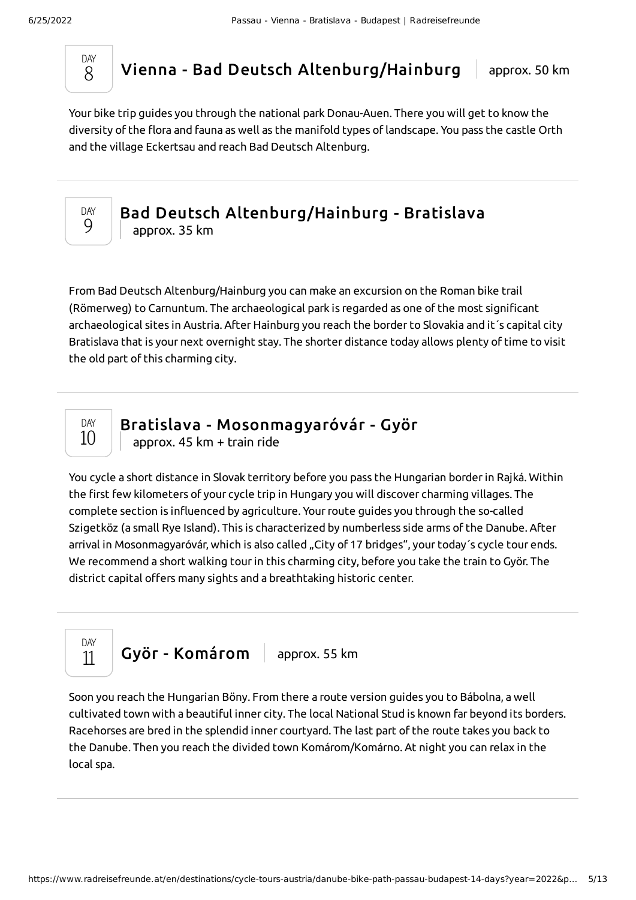

Vienna - Bad Deutsch [Altenburg/Hainburg](#page-4-0) | approx. 50 km

<span id="page-4-0"></span>Your bike trip guides you through the national park Donau-Auen. There you will get to know the diversity of the flora and fauna as well as the manifold types oflandscape. You pass the castle Orth and the village Eckertsau and reach Bad Deutsch Altenburg.



#### Bad Deutsch [Altenburg/Hainburg](#page-4-1) - Bratislava approx. 35 km

<span id="page-4-1"></span>From Bad Deutsch Altenburg/Hainburg you can make an excursion on the Roman bike trail (Römerweg) to Carnuntum. The archaeological park is regarded as one of the most significant archaeological sites in Austria. After Hainburg you reach the border to Slovakia and it´s capital city Bratislava that is your next overnight stay. The shorter distance today allows plenty of time to visit the old part of this charming city.



Bratislava - [Mosonmagyaróvár](#page-4-2) - Györ

approx. 45 km + train ride

<span id="page-4-2"></span>You cycle a short distance in Slovak territory before you pass the Hungarian borderin Rajká. Within the first few kilometers of your cycle trip in Hungary you will discover charming villages. The complete section is influenced by agriculture. Yourroute guides you through the so-called Szigetköz (a small Rye Island). This is characterized by numberless side arms of the Danube. After arrival in Mosonmagyaróvár, which is also called "City of 17 bridges", your today's cycle tour ends. We recommend a short walking tourin this charming city, before you take the train to Györ. The district capital offers many sights and a breathtaking historic center.



<span id="page-4-3"></span>Soon you reach the Hungarian Böny. From there a route version guides you to Bábolna, a well cultivated town with a beautiful inner city. The local National Stud is known far beyond its borders. Racehorses are bred in the splendid inner courtyard. The last part of the route takes you back to the Danube. Then you reach the divided town Komárom/Komárno. At night you can relax in the local spa.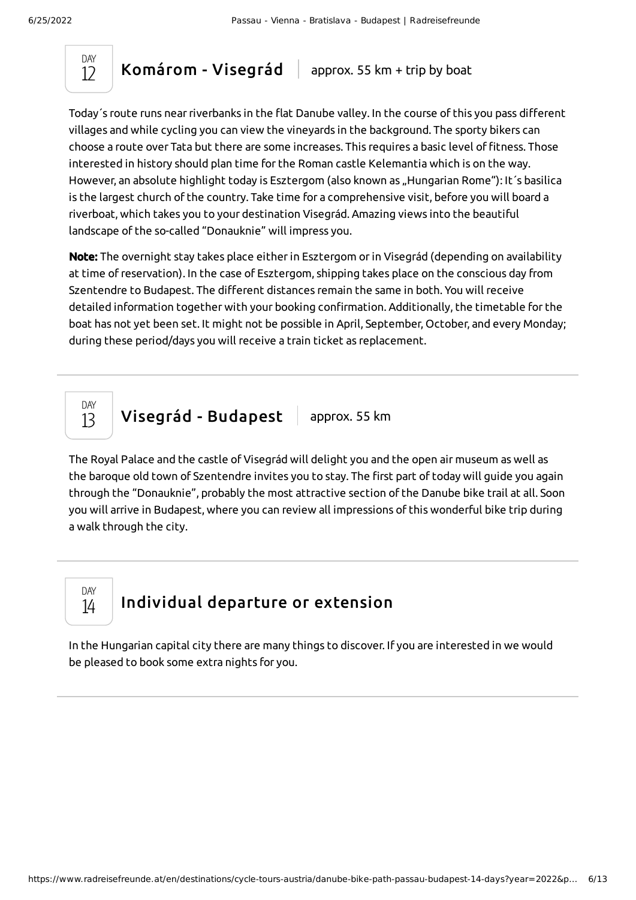

[Komárom](#page-5-0) - Visegrád  $\parallel$  approx. 55 km + trip by boat

<span id="page-5-0"></span>Today´s route runs nearriverbanks in the flat Danube valley. In the course of this you pass different villages and while cycling you can view the vineyards in the background. The sporty bikers can choose a route over Tata but there are some increases. This requires a basic level of fitness. Those interested in history should plan time for the Roman castle Kelemantia which is on the way. However, an absolute highlight today is Esztergom (also known as "Hungarian Rome"): It's basilica is the largest church of the country. Take time for a comprehensive visit, before you will board a riverboat, which takes you to your destination Visegrád. Amazing views into the beautiful landscape of the so-called "Donauknie" will impress you.

Note: The overnight stay takes place either in Esztergom or in Visegrád (depending on availability at time of reservation). In the case of Esztergom, shipping takes place on the conscious day from Szentendre to Budapest. The different distances remain the same in both. You will receive detailed information together with your booking confirmation. Additionally, the timetable for the boat has not yet been set. It might not be possible in April, September, October, and every Monday; during these period/days you will receive a train ticket as replacement.

DAY 13

Visegrád - [Budapest](#page-5-1) | approx. 55 km

<span id="page-5-1"></span>The Royal Palace and the castle of Visegrád will delight you and the open air museum as well as the baroque old town of Szentendre invites you to stay. The first part of today will guide you again through the "Donauknie", probably the most attractive section of the Danube bike trail at all. Soon you will arrive in Budapest, where you can review all impressions of this wonderful bike trip during a walk through the city.

DAY 14

### [Individual](#page-5-2) departure or extension

<span id="page-5-2"></span>In the Hungarian capital city there are many things to discover. If you are interested in we would be pleased to book some extra nights for you.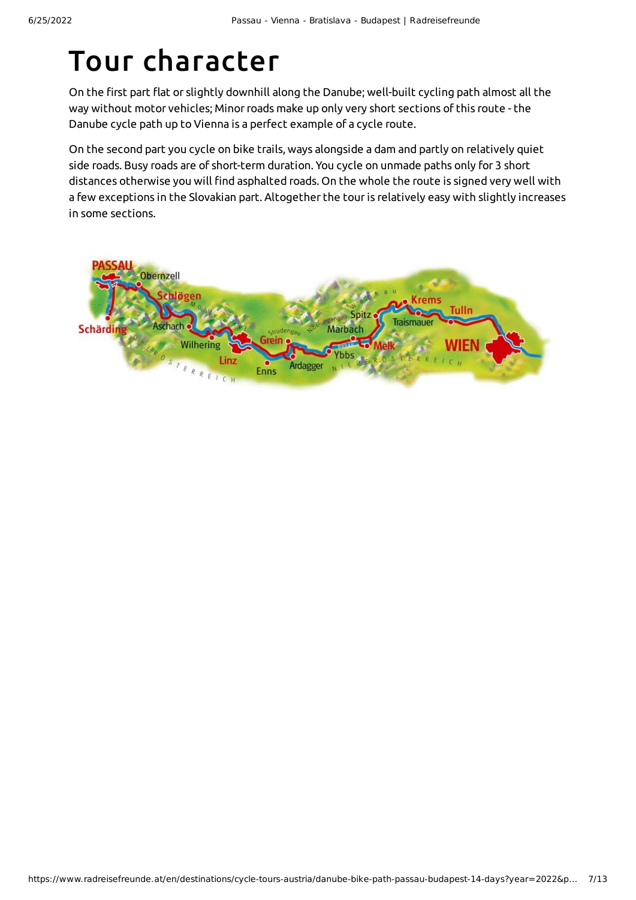## Tour character

On the first part flat or slightly downhill along the Danube; well-built cycling path almost all the way without motor vehicles; Minor roads make up only very short sections of this route - the Danube cycle path up to Vienna is a perfect example of a cycle route.

On the second part you cycle on bike trails, ways alongside a dam and partly on relatively quiet side roads. Busy roads are of short-term duration. You cycle on unmade paths only for 3 short distances otherwise you will find asphalted roads. On the whole the route is signed very well with a few exceptions in the Slovakian part. Altogether the touris relatively easy with slightly increases in some sections.

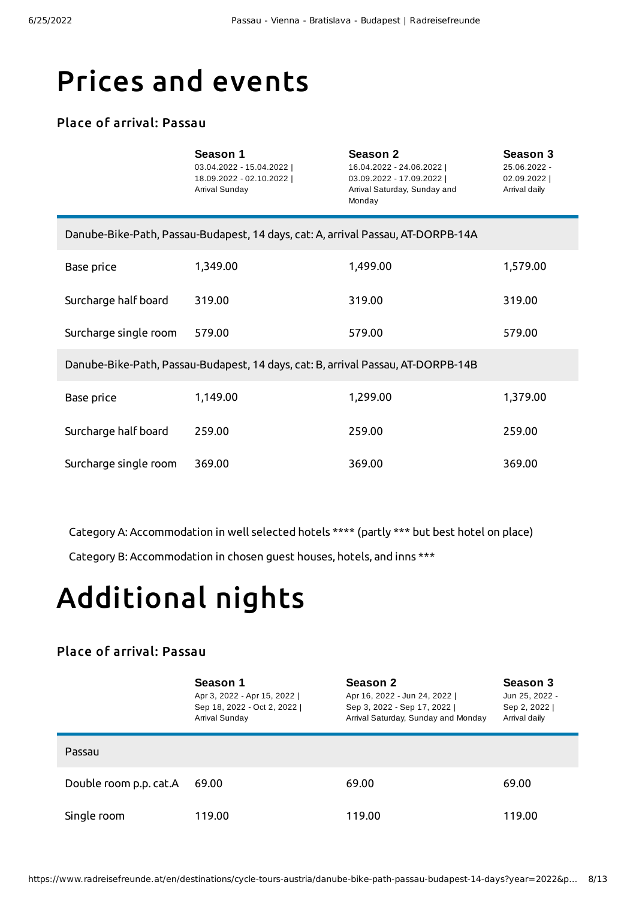## Prices and events

#### Place of arrival: Passau

|                                                                                  | Season 1<br>03.04.2022 - 15.04.2022  <br>18.09.2022 - 02.10.2022  <br>Arrival Sunday | <b>Season 2</b><br>16.04.2022 - 24.06.2022  <br>03.09.2022 - 17.09.2022  <br>Arrival Saturday, Sunday and<br>Monday | Season 3<br>25.06.2022 -<br>02.09.2022  <br>Arrival daily |
|----------------------------------------------------------------------------------|--------------------------------------------------------------------------------------|---------------------------------------------------------------------------------------------------------------------|-----------------------------------------------------------|
|                                                                                  | Danube-Bike-Path, Passau-Budapest, 14 days, cat: A, arrival Passau, AT-DORPB-14A     |                                                                                                                     |                                                           |
| Base price                                                                       | 1,349.00                                                                             | 1,499.00                                                                                                            | 1,579.00                                                  |
| Surcharge half board                                                             | 319.00                                                                               | 319.00                                                                                                              | 319.00                                                    |
| Surcharge single room                                                            | 579.00                                                                               | 579.00                                                                                                              | 579.00                                                    |
| Danube-Bike-Path, Passau-Budapest, 14 days, cat: B, arrival Passau, AT-DORPB-14B |                                                                                      |                                                                                                                     |                                                           |
| Base price                                                                       | 1,149.00                                                                             | 1,299.00                                                                                                            | 1,379.00                                                  |
| Surcharge half board                                                             | 259.00                                                                               | 259.00                                                                                                              | 259.00                                                    |
| Surcharge single room                                                            | 369.00                                                                               | 369.00                                                                                                              | 369.00                                                    |

Category A: Accommodation in well selected hotels \*\*\*\* (partly \*\*\* but best hotel on place)

Category B: Accommodation in chosen guest houses, hotels, and inns \*\*\*

# Additional nights

#### Place of arrival: Passau

|                        | Season 1<br>Apr 3, 2022 - Apr 15, 2022  <br>Sep 18, 2022 - Oct 2, 2022  <br>Arrival Sunday | Season 2<br>Apr 16, 2022 - Jun 24, 2022  <br>Sep 3, 2022 - Sep 17, 2022  <br>Arrival Saturday, Sunday and Monday | Season 3<br>Jun 25, 2022 -<br>Sep 2, 2022  <br>Arrival daily |
|------------------------|--------------------------------------------------------------------------------------------|------------------------------------------------------------------------------------------------------------------|--------------------------------------------------------------|
| Passau                 |                                                                                            |                                                                                                                  |                                                              |
| Double room p.p. cat.A | 69.00                                                                                      | 69.00                                                                                                            | 69.00                                                        |
| Single room            | 119.00                                                                                     | 119.00                                                                                                           | 119.00                                                       |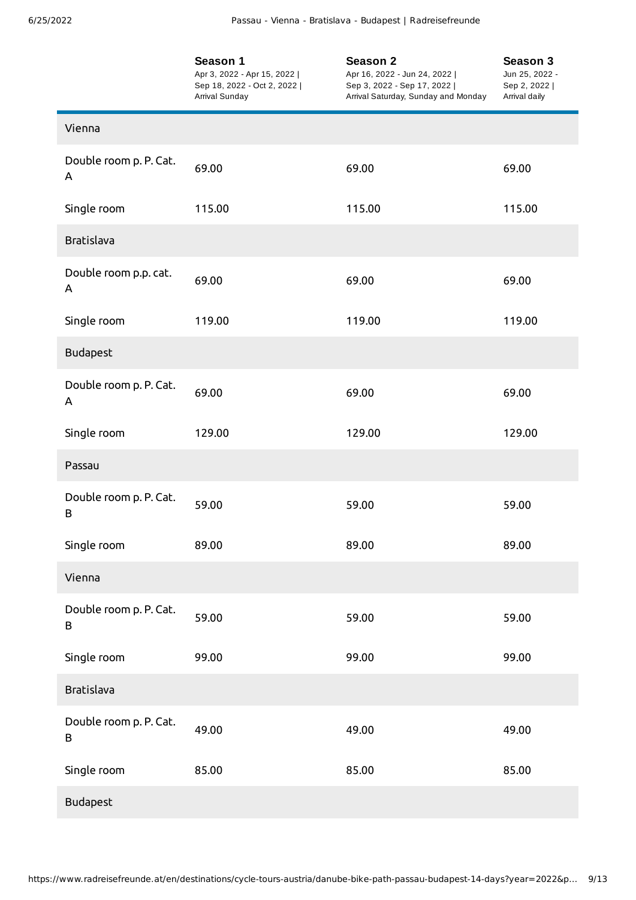|                             | Season 1<br>Apr 3, 2022 - Apr 15, 2022  <br>Sep 18, 2022 - Oct 2, 2022  <br>Arrival Sunday | Season 2<br>Apr 16, 2022 - Jun 24, 2022  <br>Sep 3, 2022 - Sep 17, 2022  <br>Arrival Saturday, Sunday and Monday | Season 3<br>Jun 25, 2022 -<br>Sep 2, 2022  <br>Arrival daily |
|-----------------------------|--------------------------------------------------------------------------------------------|------------------------------------------------------------------------------------------------------------------|--------------------------------------------------------------|
| Vienna                      |                                                                                            |                                                                                                                  |                                                              |
| Double room p. P. Cat.<br>Α | 69.00                                                                                      | 69.00                                                                                                            | 69.00                                                        |
| Single room                 | 115.00                                                                                     | 115.00                                                                                                           | 115.00                                                       |
| <b>Bratislava</b>           |                                                                                            |                                                                                                                  |                                                              |
| Double room p.p. cat.<br>A  | 69.00                                                                                      | 69.00                                                                                                            | 69.00                                                        |
| Single room                 | 119.00                                                                                     | 119.00                                                                                                           | 119.00                                                       |
| <b>Budapest</b>             |                                                                                            |                                                                                                                  |                                                              |
| Double room p. P. Cat.<br>A | 69.00                                                                                      | 69.00                                                                                                            | 69.00                                                        |
| Single room                 | 129.00                                                                                     | 129.00                                                                                                           | 129.00                                                       |
| Passau                      |                                                                                            |                                                                                                                  |                                                              |
| Double room p. P. Cat.<br>B | 59.00                                                                                      | 59.00                                                                                                            | 59.00                                                        |
| Single room                 | 89.00                                                                                      | 89.00                                                                                                            | 89.00                                                        |
| Vienna                      |                                                                                            |                                                                                                                  |                                                              |
| Double room p. P. Cat.<br>B | 59.00                                                                                      | 59.00                                                                                                            | 59.00                                                        |
| Single room                 | 99.00                                                                                      | 99.00                                                                                                            | 99.00                                                        |
| Bratislava                  |                                                                                            |                                                                                                                  |                                                              |
| Double room p. P. Cat.<br>B | 49.00                                                                                      | 49.00                                                                                                            | 49.00                                                        |
| Single room                 | 85.00                                                                                      | 85.00                                                                                                            | 85.00                                                        |
| Budapest                    |                                                                                            |                                                                                                                  |                                                              |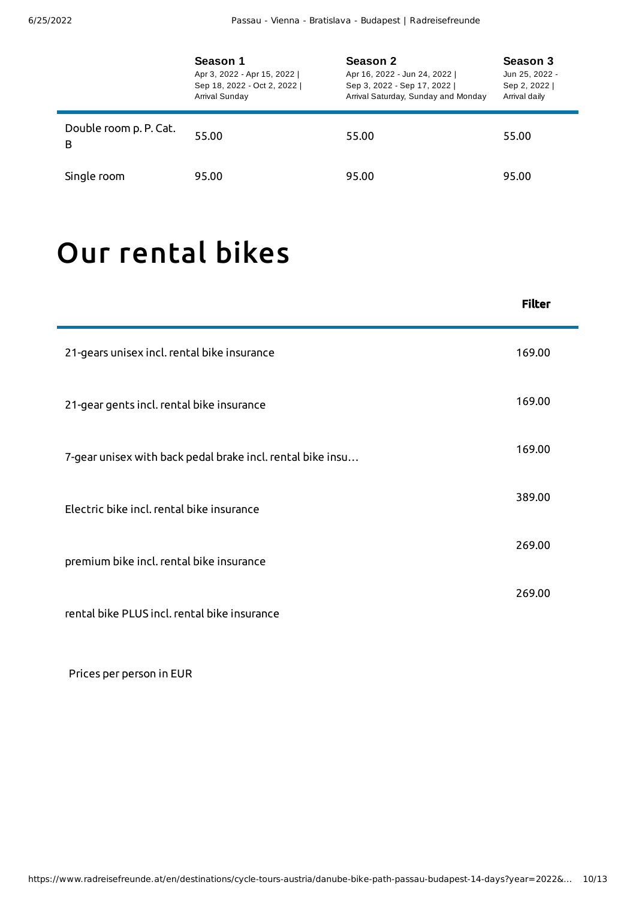|                             | Season 1<br>Apr 3, 2022 - Apr 15, 2022  <br>Sep 18, 2022 - Oct 2, 2022  <br>Arrival Sunday | Season 2<br>Apr 16, 2022 - Jun 24, 2022  <br>Sep 3, 2022 - Sep 17, 2022  <br>Arrival Saturday, Sunday and Monday | Season 3<br>Jun 25, 2022 -<br>Sep 2, 2022  <br>Arrival daily |
|-----------------------------|--------------------------------------------------------------------------------------------|------------------------------------------------------------------------------------------------------------------|--------------------------------------------------------------|
| Double room p. P. Cat.<br>B | 55.00                                                                                      | 55.00                                                                                                            | 55.00                                                        |
| Single room                 | 95.00                                                                                      | 95.00                                                                                                            | 95.00                                                        |

# Our [rental](#page-9-0) bikes

<span id="page-9-0"></span>

|                                                            | <b>Filter</b> |
|------------------------------------------------------------|---------------|
| 21-gears unisex incl. rental bike insurance                | 169.00        |
| 21-gear gents incl. rental bike insurance                  | 169.00        |
| 7-gear unisex with back pedal brake incl. rental bike insu | 169.00        |
| Electric bike incl. rental bike insurance                  | 389.00        |
| premium bike incl. rental bike insurance                   | 269.00        |
| rental bike PLUS incl. rental bike insurance               | 269.00        |

Prices per person in EUR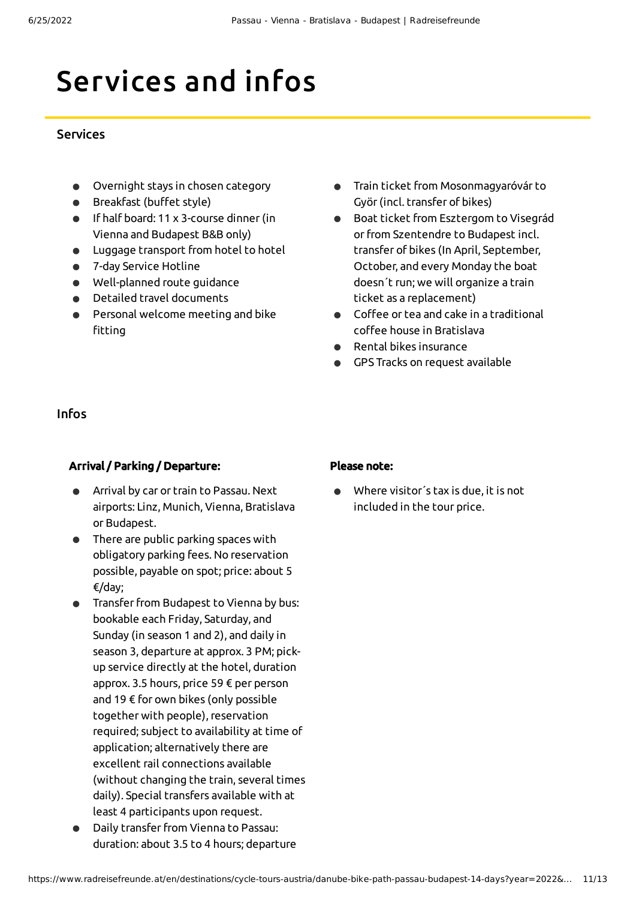# Services and infos

#### **Services**

- Overnight stays in chosen category
- Breakfast (buffet style)
- If half board: 11 x 3-course dinner(in Vienna and Budapest B&B only)
- Luggage transport from hotel to hotel
- 7-day Service Hotline
- Well-planned route guidance
- Detailed travel documents
- Personal welcome meeting and bike fitting
- Train ticket from Mosonmagyaróvár to Györ(incl. transfer of bikes)
- Boat ticket from Esztergom to Visegrád  $\bullet$ orfrom Szentendre to Budapest incl. transfer of bikes (In April, September, October, and every Monday the boat doesn´t run; we will organize a train ticket as a replacement)
- Coffee or tea and cake in a traditional  $\bullet$ coffee house in Bratislava
- Rental bikes insurance  $\bullet$
- GPS Tracks on request available

#### Infos

#### Arrival / Parking / Departure:

- Arrival by car or train to Passau. Next airports: Linz, Munich, Vienna, Bratislava or Budapest.
- There are public parking spaces with obligatory parking fees. No reservation possible, payable on spot; price: about 5 €/day;
- Transfer from Budapest to Vienna by bus: bookable each Friday, Saturday, and Sunday (in season 1 and 2), and daily in season 3, departure at approx. 3 PM; pickup service directly at the hotel, duration approx. 3.5 hours, price 59 € per person and 19 € for own bikes (only possible together with people), reservation required; subject to availability at time of application; alternatively there are excellent rail connections available (without changing the train, several times daily). Special transfers available with at least 4 participants upon request.
- Daily transfer from Vienna to Passau: duration: about 3.5 to 4 hours; departure

#### Please note:

Where visitor´s tax is due, it is not included in the tour price.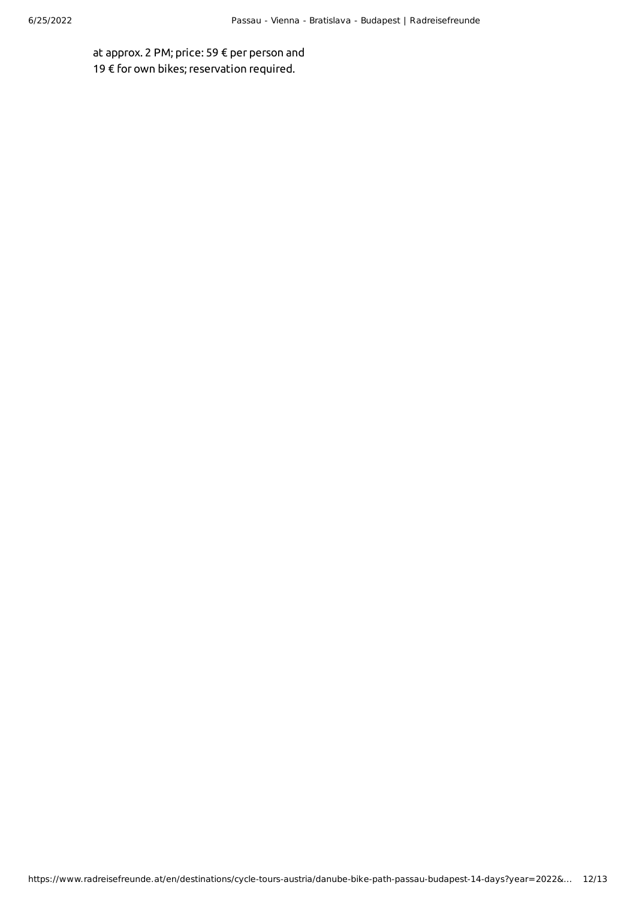at approx. 2 PM; price: 59 € per person and 19 € for own bikes; reservation required.